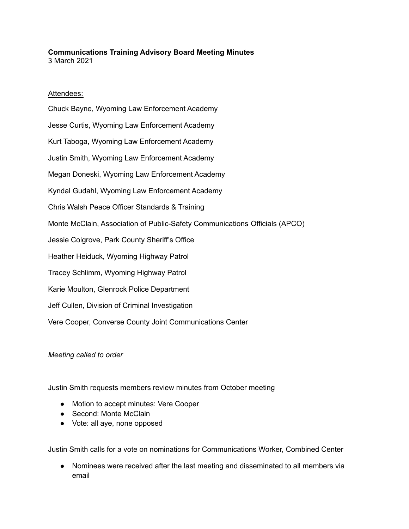## **Communications Training Advisory Board Meeting Minutes** 3 March 2021

## Attendees:

Chuck Bayne, Wyoming Law Enforcement Academy Jesse Curtis, Wyoming Law Enforcement Academy Kurt Taboga, Wyoming Law Enforcement Academy Justin Smith, Wyoming Law Enforcement Academy Megan Doneski, Wyoming Law Enforcement Academy Kyndal Gudahl, Wyoming Law Enforcement Academy Chris Walsh Peace Officer Standards & Training Monte McClain, Association of Public-Safety Communications Officials (APCO) Jessie Colgrove, Park County Sheriff's Office Heather Heiduck, Wyoming Highway Patrol Tracey Schlimm, Wyoming Highway Patrol Karie Moulton, Glenrock Police Department Jeff Cullen, Division of Criminal Investigation Vere Cooper, Converse County Joint Communications Center

## *Meeting called to order*

Justin Smith requests members review minutes from October meeting

- Motion to accept minutes: Vere Cooper
- Second: Monte McClain
- Vote: all aye, none opposed

Justin Smith calls for a vote on nominations for Communications Worker, Combined Center

● Nominees were received after the last meeting and disseminated to all members via email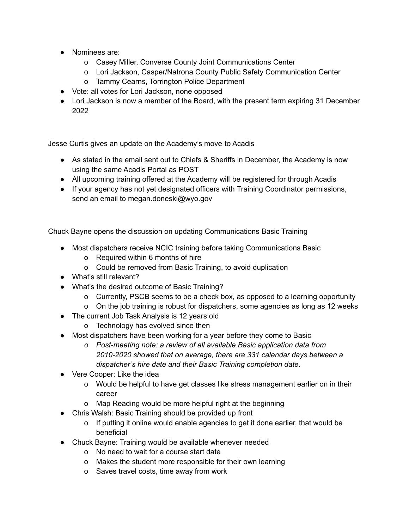- Nominees are:
	- o Casey Miller, Converse County Joint Communications Center
	- o Lori Jackson, Casper/Natrona County Public Safety Communication Center
	- o Tammy Cearns, Torrington Police Department
- Vote: all votes for Lori Jackson, none opposed
- Lori Jackson is now a member of the Board, with the present term expiring 31 December 2022

Jesse Curtis gives an update on the Academy's move to Acadis

- As stated in the email sent out to Chiefs & Sheriffs in December, the Academy is now using the same Acadis Portal as POST
- All upcoming training offered at the Academy will be registered for through Acadis
- If your agency has not yet designated officers with Training Coordinator permissions, send an email to megan.doneski@wyo.gov

Chuck Bayne opens the discussion on updating Communications Basic Training

- Most dispatchers receive NCIC training before taking Communications Basic
	- o Required within 6 months of hire
	- o Could be removed from Basic Training, to avoid duplication
- What's still relevant?
- What's the desired outcome of Basic Training?
	- o Currently, PSCB seems to be a check box, as opposed to a learning opportunity
	- o On the job training is robust for dispatchers, some agencies as long as 12 weeks
- The current Job Task Analysis is 12 years old
	- o Technology has evolved since then
- Most dispatchers have been working for a year before they come to Basic
	- *o Post-meeting note: a review of all available Basic application data from 2010-2020 showed that on average, there are 331 calendar days between a dispatcher's hire date and their Basic Training completion date.*
- Vere Cooper: Like the idea
	- o Would be helpful to have get classes like stress management earlier on in their career
	- o Map Reading would be more helpful right at the beginning
- Chris Walsh: Basic Training should be provided up front
	- o If putting it online would enable agencies to get it done earlier, that would be beneficial
- Chuck Bayne: Training would be available whenever needed
	- o No need to wait for a course start date
	- o Makes the student more responsible for their own learning
	- o Saves travel costs, time away from work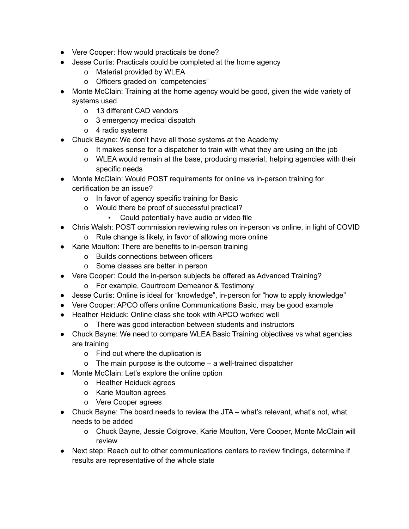- Vere Cooper: How would practicals be done?
- Jesse Curtis: Practicals could be completed at the home agency
	- o Material provided by WLEA
	- o Officers graded on "competencies"
- Monte McClain: Training at the home agency would be good, given the wide variety of systems used
	- o 13 different CAD vendors
	- o 3 emergency medical dispatch
	- o 4 radio systems
- Chuck Bayne: We don't have all those systems at the Academy
	- o It makes sense for a dispatcher to train with what they are using on the job
	- o WLEA would remain at the base, producing material, helping agencies with their specific needs
- Monte McClain: Would POST requirements for online vs in-person training for certification be an issue?
	- o In favor of agency specific training for Basic
	- o Would there be proof of successful practical?
		- Could potentially have audio or video file
- Chris Walsh: POST commission reviewing rules on in-person vs online, in light of COVID
	- o Rule change is likely, in favor of allowing more online
- Karie Moulton: There are benefits to in-person training
	- o Builds connections between officers
	- o Some classes are better in person
- Vere Cooper: Could the in-person subjects be offered as Advanced Training?
	- o For example, Courtroom Demeanor & Testimony
- Jesse Curtis: Online is ideal for "knowledge", in-person for "how to apply knowledge"
- Vere Cooper: APCO offers online Communications Basic, may be good example
- Heather Heiduck: Online class she took with APCO worked well
	- o There was good interaction between students and instructors
- Chuck Bayne: We need to compare WLEA Basic Training objectives vs what agencies are training
	- o Find out where the duplication is
	- o The main purpose is the outcome a well-trained dispatcher
- Monte McClain: Let's explore the online option
	- o Heather Heiduck agrees
	- o Karie Moulton agrees
	- o Vere Cooper agrees
- Chuck Bayne: The board needs to review the JTA what's relevant, what's not, what needs to be added
	- o Chuck Bayne, Jessie Colgrove, Karie Moulton, Vere Cooper, Monte McClain will review
- Next step: Reach out to other communications centers to review findings, determine if results are representative of the whole state